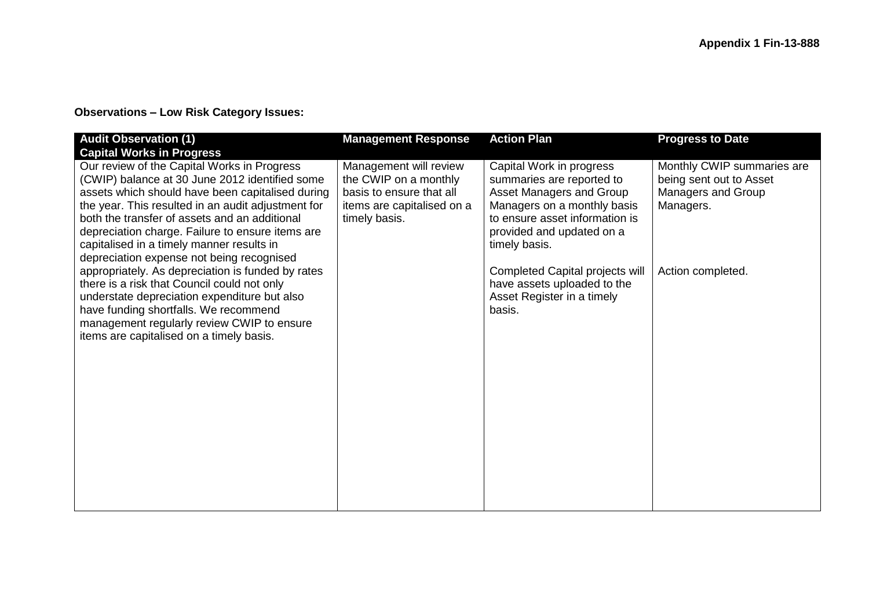## **Observations – Low Risk Category Issues:**

| <b>Audit Observation (1)</b><br><b>Capital Works in Progress</b>                                                                                                                                                                                                                                                                                                                                       | <b>Management Response</b>                                                                                                 | <b>Action Plan</b>                                                                                                                                                                                      | <b>Progress to Date</b>                                                                  |
|--------------------------------------------------------------------------------------------------------------------------------------------------------------------------------------------------------------------------------------------------------------------------------------------------------------------------------------------------------------------------------------------------------|----------------------------------------------------------------------------------------------------------------------------|---------------------------------------------------------------------------------------------------------------------------------------------------------------------------------------------------------|------------------------------------------------------------------------------------------|
| Our review of the Capital Works in Progress<br>(CWIP) balance at 30 June 2012 identified some<br>assets which should have been capitalised during<br>the year. This resulted in an audit adjustment for<br>both the transfer of assets and an additional<br>depreciation charge. Failure to ensure items are<br>capitalised in a timely manner results in<br>depreciation expense not being recognised | Management will review<br>the CWIP on a monthly<br>basis to ensure that all<br>items are capitalised on a<br>timely basis. | Capital Work in progress<br>summaries are reported to<br><b>Asset Managers and Group</b><br>Managers on a monthly basis<br>to ensure asset information is<br>provided and updated on a<br>timely basis. | Monthly CWIP summaries are<br>being sent out to Asset<br>Managers and Group<br>Managers. |
| appropriately. As depreciation is funded by rates<br>there is a risk that Council could not only<br>understate depreciation expenditure but also<br>have funding shortfalls. We recommend<br>management regularly review CWIP to ensure<br>items are capitalised on a timely basis.                                                                                                                    |                                                                                                                            | Completed Capital projects will<br>have assets uploaded to the<br>Asset Register in a timely<br>basis.                                                                                                  | Action completed.                                                                        |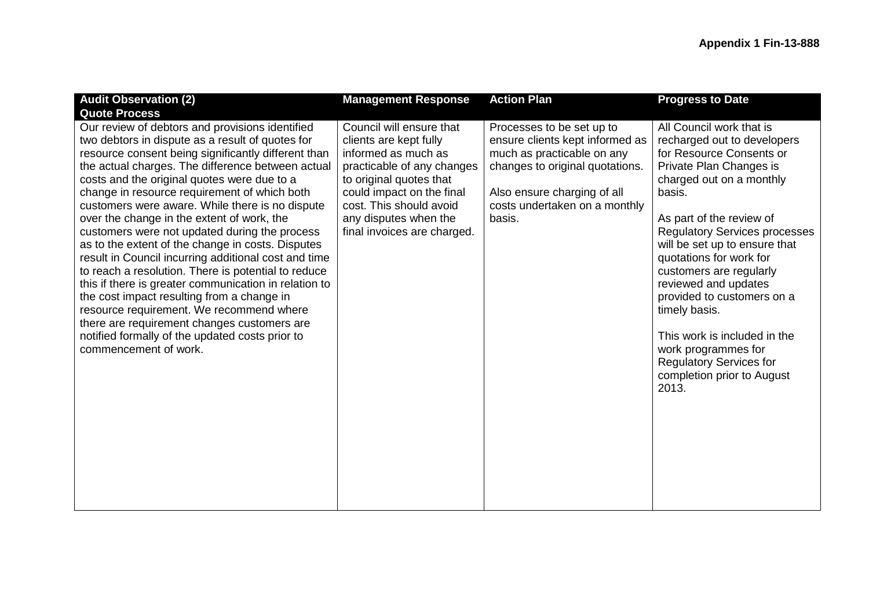| <b>Audit Observation (2)</b>                                                                                                                                                                                                                                                                                                                                                                                                                                                                                                                                                                                                                                                                                                                                                                                                                                                                                       | <b>Management Response</b>                                                                                                                                                                                                                         | <b>Action Plan</b>                                                                                                                                                                                      | <b>Progress to Date</b>                                                                                                                                                                                                                                                                                                                                                                                                                                                                                                |
|--------------------------------------------------------------------------------------------------------------------------------------------------------------------------------------------------------------------------------------------------------------------------------------------------------------------------------------------------------------------------------------------------------------------------------------------------------------------------------------------------------------------------------------------------------------------------------------------------------------------------------------------------------------------------------------------------------------------------------------------------------------------------------------------------------------------------------------------------------------------------------------------------------------------|----------------------------------------------------------------------------------------------------------------------------------------------------------------------------------------------------------------------------------------------------|---------------------------------------------------------------------------------------------------------------------------------------------------------------------------------------------------------|------------------------------------------------------------------------------------------------------------------------------------------------------------------------------------------------------------------------------------------------------------------------------------------------------------------------------------------------------------------------------------------------------------------------------------------------------------------------------------------------------------------------|
| <b>Quote Process</b>                                                                                                                                                                                                                                                                                                                                                                                                                                                                                                                                                                                                                                                                                                                                                                                                                                                                                               |                                                                                                                                                                                                                                                    |                                                                                                                                                                                                         |                                                                                                                                                                                                                                                                                                                                                                                                                                                                                                                        |
| Our review of debtors and provisions identified<br>two debtors in dispute as a result of quotes for<br>resource consent being significantly different than<br>the actual charges. The difference between actual<br>costs and the original quotes were due to a<br>change in resource requirement of which both<br>customers were aware. While there is no dispute<br>over the change in the extent of work, the<br>customers were not updated during the process<br>as to the extent of the change in costs. Disputes<br>result in Council incurring additional cost and time<br>to reach a resolution. There is potential to reduce<br>this if there is greater communication in relation to<br>the cost impact resulting from a change in<br>resource requirement. We recommend where<br>there are requirement changes customers are<br>notified formally of the updated costs prior to<br>commencement of work. | Council will ensure that<br>clients are kept fully<br>informed as much as<br>practicable of any changes<br>to original quotes that<br>could impact on the final<br>cost. This should avoid<br>any disputes when the<br>final invoices are charged. | Processes to be set up to<br>ensure clients kept informed as<br>much as practicable on any<br>changes to original quotations.<br>Also ensure charging of all<br>costs undertaken on a monthly<br>basis. | All Council work that is<br>recharged out to developers<br>for Resource Consents or<br>Private Plan Changes is<br>charged out on a monthly<br>basis.<br>As part of the review of<br><b>Regulatory Services processes</b><br>will be set up to ensure that<br>quotations for work for<br>customers are regularly<br>reviewed and updates<br>provided to customers on a<br>timely basis.<br>This work is included in the<br>work programmes for<br><b>Regulatory Services for</b><br>completion prior to August<br>2013. |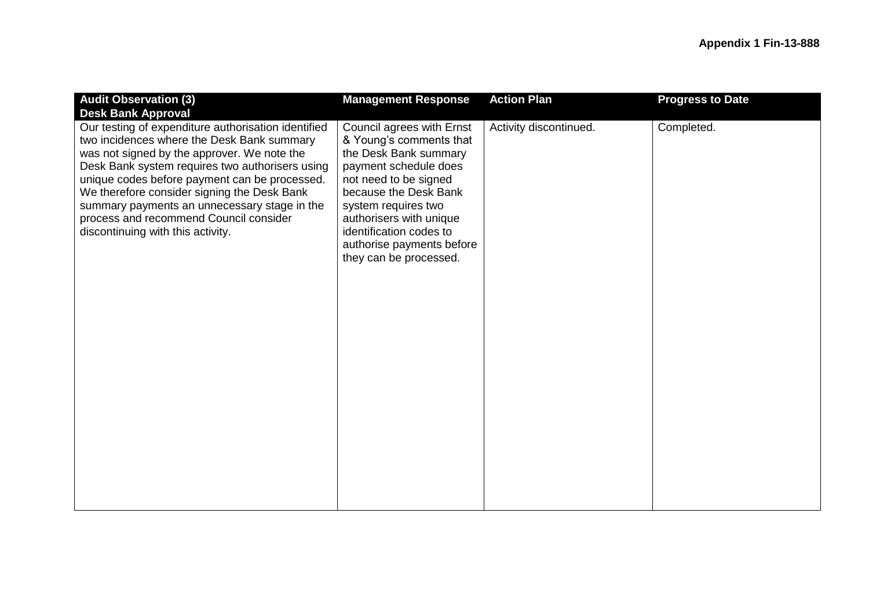| <b>Audit Observation (3)</b><br><b>Desk Bank Approval</b>                                                                                                                                                                                                                                                                                                                                                                          | <b>Management Response</b>                                                                                                                                                                                                                                                                   | <b>Action Plan</b>     | <b>Progress to Date</b> |
|------------------------------------------------------------------------------------------------------------------------------------------------------------------------------------------------------------------------------------------------------------------------------------------------------------------------------------------------------------------------------------------------------------------------------------|----------------------------------------------------------------------------------------------------------------------------------------------------------------------------------------------------------------------------------------------------------------------------------------------|------------------------|-------------------------|
| Our testing of expenditure authorisation identified<br>two incidences where the Desk Bank summary<br>was not signed by the approver. We note the<br>Desk Bank system requires two authorisers using<br>unique codes before payment can be processed.<br>We therefore consider signing the Desk Bank<br>summary payments an unnecessary stage in the<br>process and recommend Council consider<br>discontinuing with this activity. | Council agrees with Ernst<br>& Young's comments that<br>the Desk Bank summary<br>payment schedule does<br>not need to be signed<br>because the Desk Bank<br>system requires two<br>authorisers with unique<br>identification codes to<br>authorise payments before<br>they can be processed. | Activity discontinued. | Completed.              |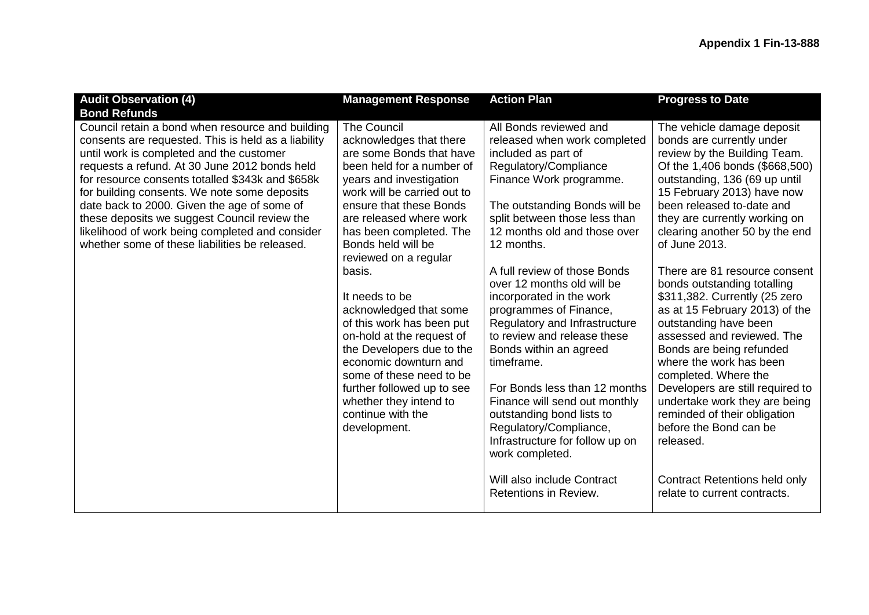| <b>Audit Observation (4)</b><br><b>Bond Refunds</b>                                                                                                                                                                                                                                                                                                                                                                                                                                                          | <b>Management Response</b>                                                                                                                                                                                                                                                                                                                                                                                                                                                                                                                                                                      | <b>Action Plan</b>                                                                                                                                                                                                                                                                                                                                                                                                                                                                                                                                                                                                                                                                                                  | <b>Progress to Date</b>                                                                                                                                                                                                                                                                                                                                                                                                                                                                                                                                                                                                                                                                                                                                                                                |
|--------------------------------------------------------------------------------------------------------------------------------------------------------------------------------------------------------------------------------------------------------------------------------------------------------------------------------------------------------------------------------------------------------------------------------------------------------------------------------------------------------------|-------------------------------------------------------------------------------------------------------------------------------------------------------------------------------------------------------------------------------------------------------------------------------------------------------------------------------------------------------------------------------------------------------------------------------------------------------------------------------------------------------------------------------------------------------------------------------------------------|---------------------------------------------------------------------------------------------------------------------------------------------------------------------------------------------------------------------------------------------------------------------------------------------------------------------------------------------------------------------------------------------------------------------------------------------------------------------------------------------------------------------------------------------------------------------------------------------------------------------------------------------------------------------------------------------------------------------|--------------------------------------------------------------------------------------------------------------------------------------------------------------------------------------------------------------------------------------------------------------------------------------------------------------------------------------------------------------------------------------------------------------------------------------------------------------------------------------------------------------------------------------------------------------------------------------------------------------------------------------------------------------------------------------------------------------------------------------------------------------------------------------------------------|
| Council retain a bond when resource and building<br>consents are requested. This is held as a liability<br>until work is completed and the customer<br>requests a refund. At 30 June 2012 bonds held<br>for resource consents totalled \$343k and \$658k<br>for building consents. We note some deposits<br>date back to 2000. Given the age of some of<br>these deposits we suggest Council review the<br>likelihood of work being completed and consider<br>whether some of these liabilities be released. | <b>The Council</b><br>acknowledges that there<br>are some Bonds that have<br>been held for a number of<br>years and investigation<br>work will be carried out to<br>ensure that these Bonds<br>are released where work<br>has been completed. The<br>Bonds held will be<br>reviewed on a regular<br>basis.<br>It needs to be<br>acknowledged that some<br>of this work has been put<br>on-hold at the request of<br>the Developers due to the<br>economic downturn and<br>some of these need to be<br>further followed up to see<br>whether they intend to<br>continue with the<br>development. | All Bonds reviewed and<br>released when work completed<br>included as part of<br>Regulatory/Compliance<br>Finance Work programme.<br>The outstanding Bonds will be<br>split between those less than<br>12 months old and those over<br>12 months.<br>A full review of those Bonds<br>over 12 months old will be<br>incorporated in the work<br>programmes of Finance,<br>Regulatory and Infrastructure<br>to review and release these<br>Bonds within an agreed<br>timeframe.<br>For Bonds less than 12 months<br>Finance will send out monthly<br>outstanding bond lists to<br>Regulatory/Compliance,<br>Infrastructure for follow up on<br>work completed.<br>Will also include Contract<br>Retentions in Review. | The vehicle damage deposit<br>bonds are currently under<br>review by the Building Team.<br>Of the 1,406 bonds (\$668,500)<br>outstanding, 136 (69 up until<br>15 February 2013) have now<br>been released to-date and<br>they are currently working on<br>clearing another 50 by the end<br>of June 2013.<br>There are 81 resource consent<br>bonds outstanding totalling<br>\$311,382. Currently (25 zero<br>as at 15 February 2013) of the<br>outstanding have been<br>assessed and reviewed. The<br>Bonds are being refunded<br>where the work has been<br>completed. Where the<br>Developers are still required to<br>undertake work they are being<br>reminded of their obligation<br>before the Bond can be<br>released.<br><b>Contract Retentions held only</b><br>relate to current contracts. |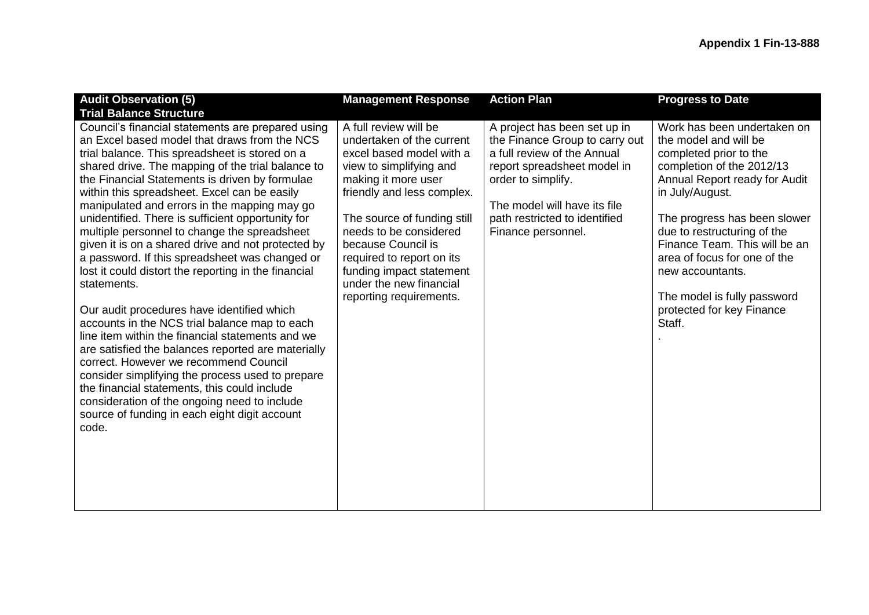| <b>Audit Observation (5)</b>                                                                                                                                                                                                                                                                                                                                                                                                                                                                                                                                                                                                                                                                                                                                                                                                                                                                                                                                                                                                                                                                                                                     | <b>Management Response</b>                                                                                                                                                                                                                                                                                                                                   | <b>Action Plan</b>                                                                                                                                                                                                                        | <b>Progress to Date</b>                                                                                                                                                                                                                                                                                                                                                                   |
|--------------------------------------------------------------------------------------------------------------------------------------------------------------------------------------------------------------------------------------------------------------------------------------------------------------------------------------------------------------------------------------------------------------------------------------------------------------------------------------------------------------------------------------------------------------------------------------------------------------------------------------------------------------------------------------------------------------------------------------------------------------------------------------------------------------------------------------------------------------------------------------------------------------------------------------------------------------------------------------------------------------------------------------------------------------------------------------------------------------------------------------------------|--------------------------------------------------------------------------------------------------------------------------------------------------------------------------------------------------------------------------------------------------------------------------------------------------------------------------------------------------------------|-------------------------------------------------------------------------------------------------------------------------------------------------------------------------------------------------------------------------------------------|-------------------------------------------------------------------------------------------------------------------------------------------------------------------------------------------------------------------------------------------------------------------------------------------------------------------------------------------------------------------------------------------|
| <b>Trial Balance Structure</b><br>Council's financial statements are prepared using<br>an Excel based model that draws from the NCS<br>trial balance. This spreadsheet is stored on a<br>shared drive. The mapping of the trial balance to<br>the Financial Statements is driven by formulae<br>within this spreadsheet. Excel can be easily<br>manipulated and errors in the mapping may go<br>unidentified. There is sufficient opportunity for<br>multiple personnel to change the spreadsheet<br>given it is on a shared drive and not protected by<br>a password. If this spreadsheet was changed or<br>lost it could distort the reporting in the financial<br>statements.<br>Our audit procedures have identified which<br>accounts in the NCS trial balance map to each<br>line item within the financial statements and we<br>are satisfied the balances reported are materially<br>correct. However we recommend Council<br>consider simplifying the process used to prepare<br>the financial statements, this could include<br>consideration of the ongoing need to include<br>source of funding in each eight digit account<br>code. | A full review will be<br>undertaken of the current<br>excel based model with a<br>view to simplifying and<br>making it more user<br>friendly and less complex.<br>The source of funding still<br>needs to be considered<br>because Council is<br>required to report on its<br>funding impact statement<br>under the new financial<br>reporting requirements. | A project has been set up in<br>the Finance Group to carry out<br>a full review of the Annual<br>report spreadsheet model in<br>order to simplify.<br>The model will have its file<br>path restricted to identified<br>Finance personnel. | Work has been undertaken on<br>the model and will be<br>completed prior to the<br>completion of the 2012/13<br>Annual Report ready for Audit<br>in July/August.<br>The progress has been slower<br>due to restructuring of the<br>Finance Team. This will be an<br>area of focus for one of the<br>new accountants.<br>The model is fully password<br>protected for key Finance<br>Staff. |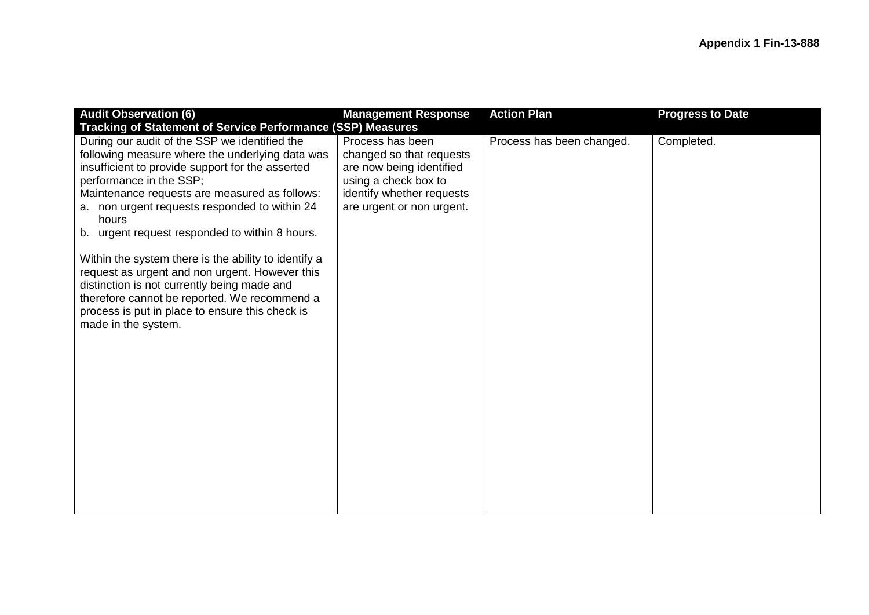| <b>Audit Observation (6)</b>                                                                                                                                                                                                                                                                                                                                                                                                                                                                                                                                                                                                                                                                          | <b>Management Response</b>                                                                                                                                 | <b>Action Plan</b>        | <b>Progress to Date</b> |
|-------------------------------------------------------------------------------------------------------------------------------------------------------------------------------------------------------------------------------------------------------------------------------------------------------------------------------------------------------------------------------------------------------------------------------------------------------------------------------------------------------------------------------------------------------------------------------------------------------------------------------------------------------------------------------------------------------|------------------------------------------------------------------------------------------------------------------------------------------------------------|---------------------------|-------------------------|
| <b>Tracking of Statement of Service Performance (SSP) Measures</b><br>During our audit of the SSP we identified the<br>following measure where the underlying data was<br>insufficient to provide support for the asserted<br>performance in the SSP;<br>Maintenance requests are measured as follows:<br>a. non urgent requests responded to within 24<br>hours<br>b. urgent request responded to within 8 hours.<br>Within the system there is the ability to identify a<br>request as urgent and non urgent. However this<br>distinction is not currently being made and<br>therefore cannot be reported. We recommend a<br>process is put in place to ensure this check is<br>made in the system. | Process has been<br>changed so that requests<br>are now being identified<br>using a check box to<br>identify whether requests<br>are urgent or non urgent. | Process has been changed. | Completed.              |